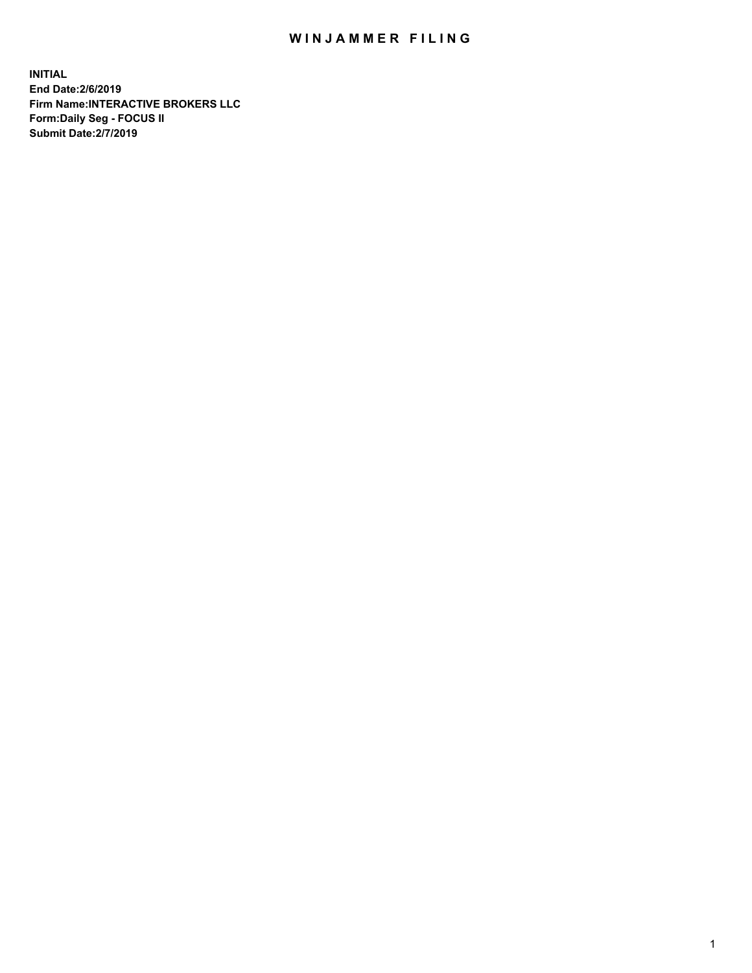## WIN JAMMER FILING

**INITIAL End Date:2/6/2019 Firm Name:INTERACTIVE BROKERS LLC Form:Daily Seg - FOCUS II Submit Date:2/7/2019**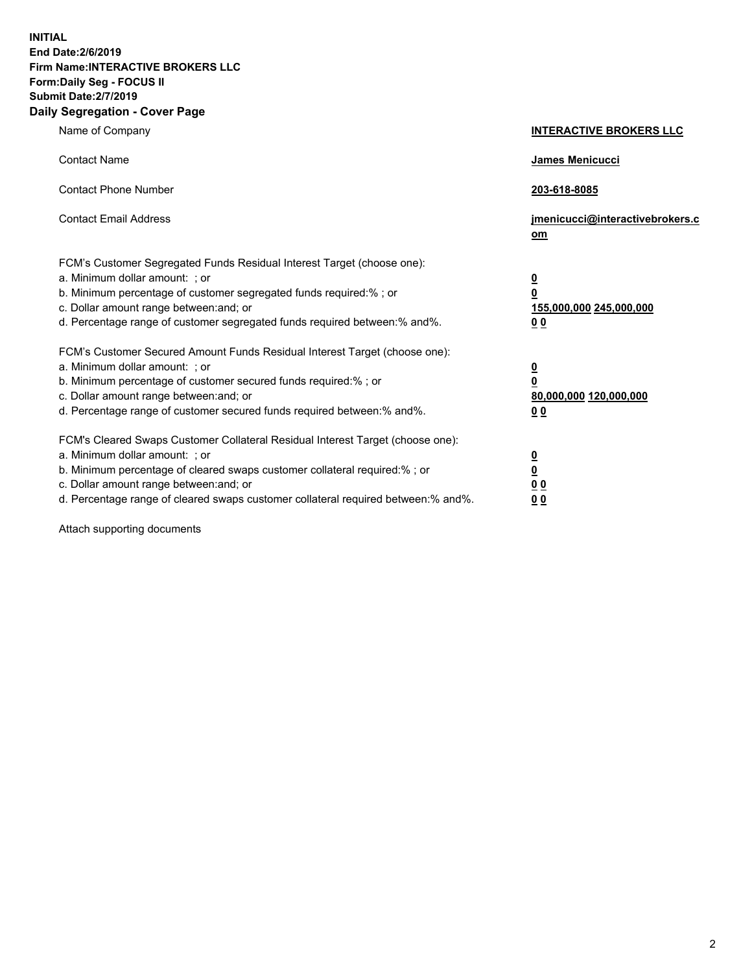**INITIAL End Date:2/6/2019 Firm Name:INTERACTIVE BROKERS LLC Form:Daily Seg - FOCUS II Submit Date:2/7/2019 Daily Segregation - Cover Page**

| Name of Company                                                                                                                                                                                                                                                                                                                | <b>INTERACTIVE BROKERS LLC</b>                                                                  |
|--------------------------------------------------------------------------------------------------------------------------------------------------------------------------------------------------------------------------------------------------------------------------------------------------------------------------------|-------------------------------------------------------------------------------------------------|
| <b>Contact Name</b>                                                                                                                                                                                                                                                                                                            | James Menicucci                                                                                 |
| <b>Contact Phone Number</b>                                                                                                                                                                                                                                                                                                    | 203-618-8085                                                                                    |
| <b>Contact Email Address</b>                                                                                                                                                                                                                                                                                                   | jmenicucci@interactivebrokers.c<br>om                                                           |
| FCM's Customer Segregated Funds Residual Interest Target (choose one):<br>a. Minimum dollar amount: : or<br>b. Minimum percentage of customer segregated funds required:% ; or<br>c. Dollar amount range between: and; or<br>d. Percentage range of customer segregated funds required between:% and%.                         | $\overline{\mathbf{0}}$<br>$\overline{\mathbf{0}}$<br>155,000,000 245,000,000<br>0 <sub>0</sub> |
| FCM's Customer Secured Amount Funds Residual Interest Target (choose one):<br>a. Minimum dollar amount: ; or<br>b. Minimum percentage of customer secured funds required:% ; or<br>c. Dollar amount range between: and; or<br>d. Percentage range of customer secured funds required between:% and%.                           | $\overline{\mathbf{0}}$<br>$\overline{\mathbf{0}}$<br>80,000,000 120,000,000<br>0 <sub>0</sub>  |
| FCM's Cleared Swaps Customer Collateral Residual Interest Target (choose one):<br>a. Minimum dollar amount: ; or<br>b. Minimum percentage of cleared swaps customer collateral required:% ; or<br>c. Dollar amount range between: and; or<br>d. Percentage range of cleared swaps customer collateral required between:% and%. | $\overline{\mathbf{0}}$<br><u>0</u><br>0 <sub>0</sub><br>0 <sub>0</sub>                         |

Attach supporting documents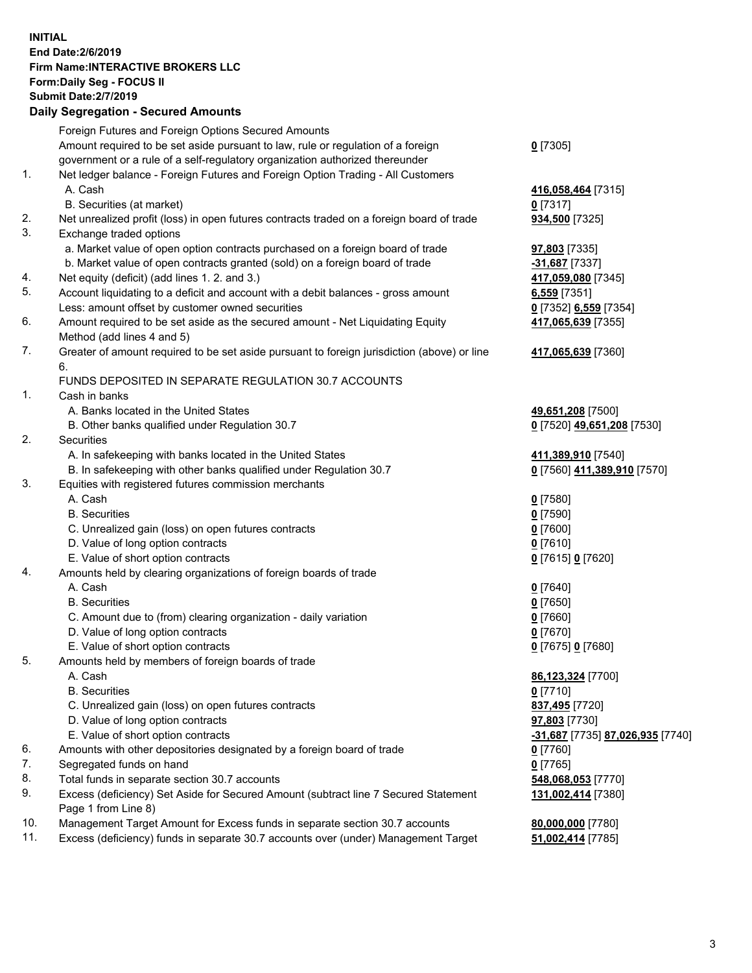## **INITIAL End Date:2/6/2019 Firm Name:INTERACTIVE BROKERS LLC Form:Daily Seg - FOCUS II Submit Date:2/7/2019 Daily Segregation - Secured Amounts**

|                | Foreign Futures and Foreign Options Secured Amounts                                                        |                                                            |
|----------------|------------------------------------------------------------------------------------------------------------|------------------------------------------------------------|
|                | Amount required to be set aside pursuant to law, rule or regulation of a foreign                           | $0$ [7305]                                                 |
|                | government or a rule of a self-regulatory organization authorized thereunder                               |                                                            |
| $\mathbf{1}$ . | Net ledger balance - Foreign Futures and Foreign Option Trading - All Customers                            |                                                            |
|                | A. Cash                                                                                                    | 416,058,464 [7315]                                         |
|                | B. Securities (at market)                                                                                  | $0$ [7317]                                                 |
| 2.             | Net unrealized profit (loss) in open futures contracts traded on a foreign board of trade                  | 934,500 [7325]                                             |
| 3.             | Exchange traded options                                                                                    |                                                            |
|                | a. Market value of open option contracts purchased on a foreign board of trade                             | 97,803 [7335]                                              |
|                | b. Market value of open contracts granted (sold) on a foreign board of trade                               | -31,687 [7337]                                             |
| 4.             | Net equity (deficit) (add lines 1.2. and 3.)                                                               | 417,059,080 [7345]                                         |
| 5.             | Account liquidating to a deficit and account with a debit balances - gross amount                          | 6,559 [7351]                                               |
|                | Less: amount offset by customer owned securities                                                           | 0 [7352] 6,559 [7354]                                      |
| 6.             | Amount required to be set aside as the secured amount - Net Liquidating Equity                             | 417,065,639 [7355]                                         |
|                | Method (add lines 4 and 5)                                                                                 |                                                            |
| 7.             | Greater of amount required to be set aside pursuant to foreign jurisdiction (above) or line<br>6.          | 417,065,639 [7360]                                         |
|                | FUNDS DEPOSITED IN SEPARATE REGULATION 30.7 ACCOUNTS                                                       |                                                            |
| $\mathbf{1}$ . | Cash in banks                                                                                              |                                                            |
|                | A. Banks located in the United States                                                                      | 49,651,208 [7500]                                          |
|                | B. Other banks qualified under Regulation 30.7                                                             | 0 [7520] 49,651,208 [7530]                                 |
| 2.             | Securities                                                                                                 |                                                            |
|                | A. In safekeeping with banks located in the United States                                                  | 411,389,910 [7540]                                         |
|                | B. In safekeeping with other banks qualified under Regulation 30.7                                         | 0 [7560] 411,389,910 [7570]                                |
| 3.             | Equities with registered futures commission merchants                                                      |                                                            |
|                | A. Cash                                                                                                    | $0$ [7580]                                                 |
|                | <b>B.</b> Securities                                                                                       | $0$ [7590]                                                 |
|                | C. Unrealized gain (loss) on open futures contracts                                                        | $0$ [7600]                                                 |
|                | D. Value of long option contracts                                                                          | $0$ [7610]                                                 |
|                | E. Value of short option contracts                                                                         | 0 [7615] 0 [7620]                                          |
| 4.             | Amounts held by clearing organizations of foreign boards of trade                                          |                                                            |
|                | A. Cash                                                                                                    | $0$ [7640]                                                 |
|                | <b>B.</b> Securities                                                                                       | $0$ [7650]                                                 |
|                | C. Amount due to (from) clearing organization - daily variation                                            | $0$ [7660]                                                 |
|                | D. Value of long option contracts                                                                          | $0$ [7670]                                                 |
|                | E. Value of short option contracts                                                                         | 0 [7675] 0 [7680]                                          |
| 5.             | Amounts held by members of foreign boards of trade                                                         |                                                            |
|                | A. Cash                                                                                                    | 86,123,324 [7700]                                          |
|                | <b>B.</b> Securities                                                                                       | $0$ [7710]                                                 |
|                | C. Unrealized gain (loss) on open futures contracts                                                        | 837,495 [7720]                                             |
|                | D. Value of long option contracts                                                                          | 97,803 [7730]                                              |
|                | E. Value of short option contracts                                                                         | <mark>-31,687</mark> [7735] <mark>87,026,935</mark> [7740] |
| 6.             | Amounts with other depositories designated by a foreign board of trade                                     | $0$ [7760]                                                 |
| 7.             | Segregated funds on hand                                                                                   | $0$ [7765]                                                 |
| 8.             | Total funds in separate section 30.7 accounts                                                              | 548,068,053 [7770]                                         |
| 9.             | Excess (deficiency) Set Aside for Secured Amount (subtract line 7 Secured Statement<br>Page 1 from Line 8) | 131,002,414 [7380]                                         |
| 10.            | Management Target Amount for Excess funds in separate section 30.7 accounts                                | 80,000,000 [7780]                                          |
| 11.            | Excess (deficiency) funds in separate 30.7 accounts over (under) Management Target                         | 51,002,414 [7785]                                          |
|                |                                                                                                            |                                                            |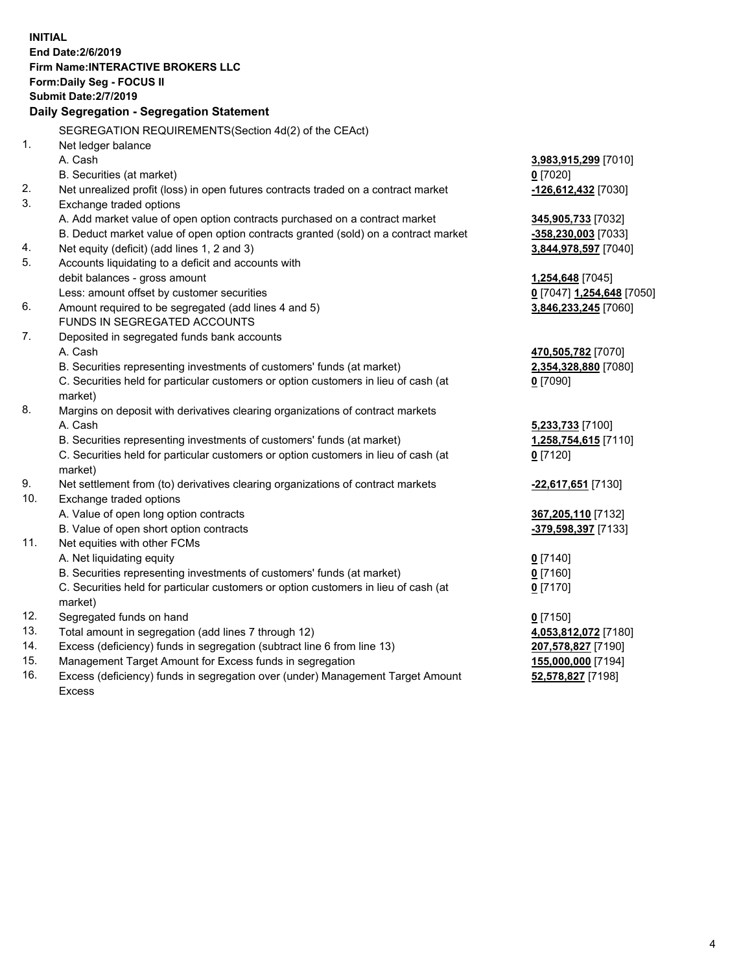|     | <b>INITIAL</b>                                                                                                                                                |                           |
|-----|---------------------------------------------------------------------------------------------------------------------------------------------------------------|---------------------------|
|     | End Date: 2/6/2019                                                                                                                                            |                           |
|     | Firm Name: INTERACTIVE BROKERS LLC                                                                                                                            |                           |
|     | Form: Daily Seg - FOCUS II                                                                                                                                    |                           |
|     | <b>Submit Date: 2/7/2019</b>                                                                                                                                  |                           |
|     | Daily Segregation - Segregation Statement                                                                                                                     |                           |
|     |                                                                                                                                                               |                           |
| 1.  | SEGREGATION REQUIREMENTS(Section 4d(2) of the CEAct)                                                                                                          |                           |
|     | Net ledger balance<br>A. Cash                                                                                                                                 |                           |
|     |                                                                                                                                                               | 3,983,915,299 [7010]      |
| 2.  | B. Securities (at market)<br>Net unrealized profit (loss) in open futures contracts traded on a contract market                                               | $0$ [7020]                |
| 3.  | Exchange traded options                                                                                                                                       | -126,612,432 [7030]       |
|     |                                                                                                                                                               |                           |
|     | A. Add market value of open option contracts purchased on a contract market                                                                                   | 345,905,733 [7032]        |
| 4.  | B. Deduct market value of open option contracts granted (sold) on a contract market                                                                           | -358,230,003 [7033]       |
| 5.  | Net equity (deficit) (add lines 1, 2 and 3)                                                                                                                   | 3,844,978,597 [7040]      |
|     | Accounts liquidating to a deficit and accounts with                                                                                                           |                           |
|     | debit balances - gross amount                                                                                                                                 | 1,254,648 [7045]          |
| 6.  | Less: amount offset by customer securities                                                                                                                    | 0 [7047] 1,254,648 [7050] |
|     | Amount required to be segregated (add lines 4 and 5)<br>FUNDS IN SEGREGATED ACCOUNTS                                                                          | 3,846,233,245 [7060]      |
| 7.  |                                                                                                                                                               |                           |
|     | Deposited in segregated funds bank accounts<br>A. Cash                                                                                                        | 470,505,782 [7070]        |
|     | B. Securities representing investments of customers' funds (at market)                                                                                        | 2,354,328,880 [7080]      |
|     | C. Securities held for particular customers or option customers in lieu of cash (at                                                                           |                           |
|     | market)                                                                                                                                                       | $0$ [7090]                |
| 8.  | Margins on deposit with derivatives clearing organizations of contract markets                                                                                |                           |
|     | A. Cash                                                                                                                                                       |                           |
|     |                                                                                                                                                               | 5,233,733 [7100]          |
|     | B. Securities representing investments of customers' funds (at market)<br>C. Securities held for particular customers or option customers in lieu of cash (at | 1,258,754,615 [7110]      |
|     | market)                                                                                                                                                       | $0$ [7120]                |
| 9.  | Net settlement from (to) derivatives clearing organizations of contract markets                                                                               |                           |
| 10. | Exchange traded options                                                                                                                                       | -22,617,651 [7130]        |
|     | A. Value of open long option contracts                                                                                                                        | 367,205,110 [7132]        |
|     | B. Value of open short option contracts                                                                                                                       | -379,598,397 [7133]       |
| 11. | Net equities with other FCMs                                                                                                                                  |                           |
|     | A. Net liquidating equity                                                                                                                                     | $0$ [7140]                |
|     | B. Securities representing investments of customers' funds (at market)                                                                                        | $0$ [7160]                |
|     | C. Securities held for particular customers or option customers in lieu of cash (at                                                                           | $0$ [7170]                |
|     | market)                                                                                                                                                       |                           |
| 12. | Segregated funds on hand                                                                                                                                      | $0$ [7150]                |
| 13. | Total amount in segregation (add lines 7 through 12)                                                                                                          | 4,053,812,072 [7180]      |
| 14. | Excess (deficiency) funds in segregation (subtract line 6 from line 13)                                                                                       | 207,578,827 [7190]        |
| 15. | Management Target Amount for Excess funds in segregation                                                                                                      | 155,000,000 [7194]        |
|     |                                                                                                                                                               |                           |

16. Excess (deficiency) funds in segregation over (under) Management Target Amount Excess

**52,578,827** [7198]